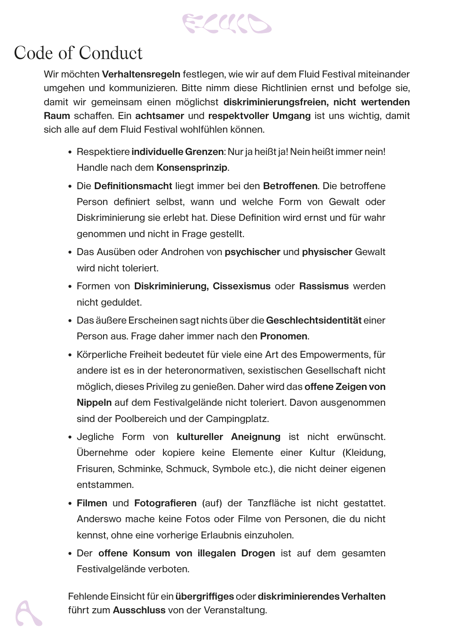

## Code of Conduct

Wir möchten **Verhaltensregeln** festlegen, wie wir auf dem Fluid Festival miteinander umgehen und kommunizieren. Bitte nimm diese Richtlinien ernst und befolge sie, damit wir gemeinsam einen möglichst **diskriminierungsfreien, nicht wertenden Raum** schaffen. Ein **achtsamer** und **respektvoller Umgang** ist uns wichtig, damit sich alle auf dem Fluid Festival wohlfühlen können.

Fehlende Einsicht für ein **übergriffiges** oder **diskriminierendes Verhalten** führt zum **Ausschluss** von der Veranstaltung.

- Respektiere **individuelle Grenzen**: Nur ja heißt ja! Nein heißt immer nein! Handle nach dem **Konsensprinzip**.
- Die **Definitionsmacht** liegt immer bei den **Betroffenen**. Die betroffene Person definiert selbst, wann und welche Form von Gewalt oder Diskriminierung sie erlebt hat. Diese Definition wird ernst und für wahr genommen und nicht in Frage gestellt.
- Das Ausüben oder Androhen von **psychischer** und **physischer** Gewalt wird nicht toleriert.
- Formen von **Diskriminierung, Cissexismus** oder **Rassismus** werden nicht geduldet.
- Das äußere Erscheinen sagt nichts über die **Geschlechtsidentität** einer Person aus. Frage daher immer nach den **Pronomen**.
- Körperliche Freiheit bedeutet für viele eine Art des Empowerments, für andere ist es in der heteronormativen, sexistischen Gesellschaft nicht möglich, dieses Privileg zu genießen. Daher wird das **offene Zeigen von Nippeln** auf dem Festivalgelände nicht toleriert. Davon ausgenommen sind der Poolbereich und der Campingplatz.
- Jegliche Form von **kultureller Aneignung** ist nicht erwünscht. Übernehme oder kopiere keine Elemente einer Kultur (Kleidung, Frisuren, Schminke, Schmuck, Symbole etc.), die nicht deiner eigenen entstammen.
- **• Filmen** und **Fotografieren** (auf) der Tanzfläche ist nicht gestattet. Anderswo mache keine Fotos oder Filme von Personen, die du nicht kennst, ohne eine vorherige Erlaubnis einzuholen.
- Der **offene Konsum von illegalen Drogen** ist auf dem gesamten Festivalgelände verboten.

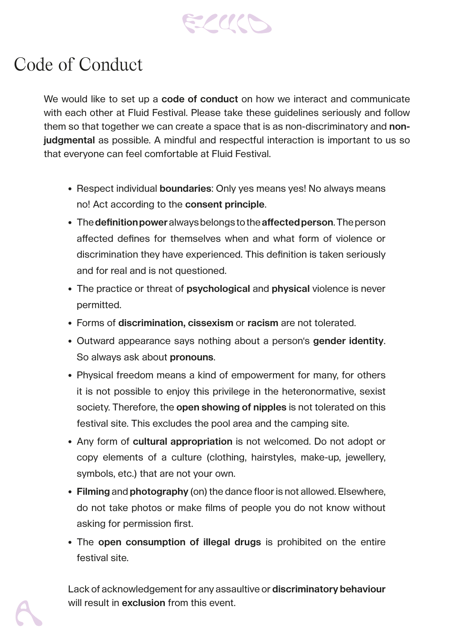

## Code of Conduct

We would like to set up a **code of conduct** on how we interact and communicate with each other at Fluid Festival. Please take these guidelines seriously and follow them so that together we can create a space that is as non-discriminatory and **nonjudgmental** as possible. A mindful and respectful interaction is important to us so that everyone can feel comfortable at Fluid Festival.

Lack of acknowledgement for any assaultive or **discriminatory behaviour** will result in **exclusion** from this event.



- Respect individual **boundaries**: Only yes means yes! No always means no! Act according to the **consent principle**.
- The **definition power** always belongs to the **affected person**. The person affected defines for themselves when and what form of violence or discrimination they have experienced. This definition is taken seriously and for real and is not questioned.
- The practice or threat of **psychological** and **physical** violence is never permitted.
- Forms of **discrimination, cissexism** or **racism** are not tolerated.
- Outward appearance says nothing about a person's **gender identity**. So always ask about **pronouns**.
- Physical freedom means a kind of empowerment for many, for others it is not possible to enjoy this privilege in the heteronormative, sexist society. Therefore, the **open showing of nipples** is not tolerated on this festival site. This excludes the pool area and the camping site.
- Any form of **cultural appropriation** is not welcomed. Do not adopt or copy elements of a culture (clothing, hairstyles, make-up, jewellery, symbols, etc.) that are not your own.
- **• Filming** and **photography** (on) the dance floor is not allowed. Elsewhere, do not take photos or make films of people you do not know without asking for permission first.
- The **open consumption of illegal drugs** is prohibited on the entire festival site.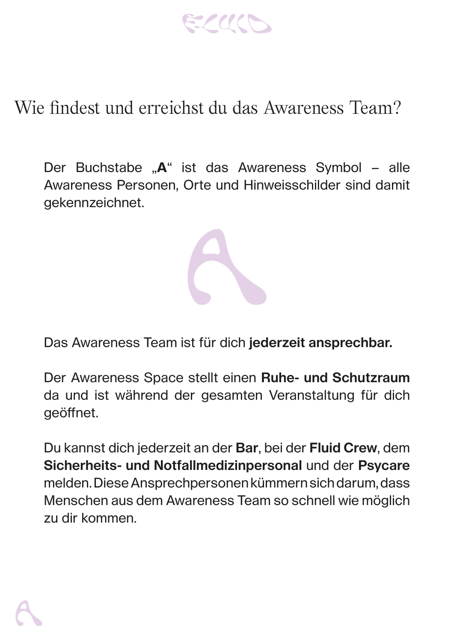ELUCO

## Wie findest und erreichst du das Awareness Team?

Der Buchstabe "A" ist das Awareness Symbol – alle Awareness Personen, Orte und Hinweisschilder sind damit gekennzeichnet.

Das Awareness Team ist für dich **jederzeit ansprechbar.**

Der Awareness Space stellt einen **Ruhe- und Schutzraum**  da und ist während der gesamten Veranstaltung für dich geöffnet.

Du kannst dich jederzeit an der **Bar**, bei der **Fluid Crew**, dem **Sicherheits- und Notfallmedizinpersonal** und der **Psycare** melden. Diese Ansprechpersonen kümmern sich darum, dass Menschen aus dem Awareness Team so schnell wie möglich zu dir kommen.